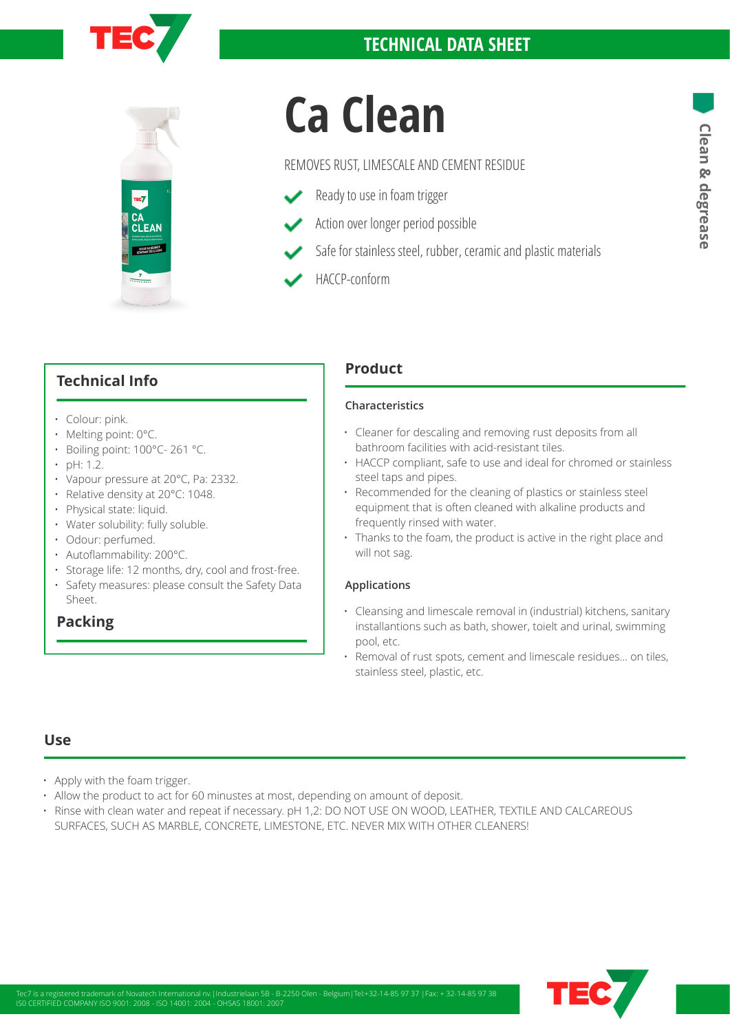



# **Ca Clean**<br>REMOVES RUST, LIMESCALE AND CEMENT RESIDUE<br>
Ready to use in foam trigger<br>
Action over longer period possible<br>
Action over longer period possible<br>
Action over longer period possible

### REMOVES RUST, LIMESCALE AND CEMENT RESIDUE

- Ready to use in foam trigger
- Action over longer period possible
- Safe for stainless steel, rubber, ceramic and plastic materials
- HACCP-conform

# **Technical Info**

- Colour: pink.
- Melting point: 0°C.
- Boiling point: 100°C- 261 °C.
- $\cdot$  pH: 1.2.
- Vapour pressure at 20°C, Pa: 2332.
- Relative density at 20°C: 1048.
- Physical state: liquid.
- Water solubility: fully soluble.
- Odour: perfumed.
- Autoflammability: 200°C.
- Storage life: 12 months, dry, cool and frost-free. • Safety measures: please consult the Safety Data Sheet.

# **Packing**

# **Product**

### **Characteristics**

- Cleaner for descaling and removing rust deposits from all bathroom facilities with acid-resistant tiles.
- HACCP compliant, safe to use and ideal for chromed or stainless steel taps and pipes.
- Recommended for the cleaning of plastics or stainless steel equipment that is often cleaned with alkaline products and frequently rinsed with water.
- Thanks to the foam, the product is active in the right place and will not sag.

### **Applications**

- Cleansing and limescale removal in (industrial) kitchens, sanitary installantions such as bath, shower, toielt and urinal, swimming pool, etc.
- Removal of rust spots, cement and limescale residues... on tiles, stainless steel, plastic, etc.

## **Use**

- Apply with the foam trigger.
- Allow the product to act for 60 minustes at most, depending on amount of deposit.
- Rinse with clean water and repeat if necessary. pH 1,2: DO NOT USE ON WOOD, LEATHER, TEXTILE AND CALCAREOUS SURFACES, SUCH AS MARBLE, CONCRETE, LIMESTONE, ETC. NEVER MIX WITH OTHER CLEANERS!